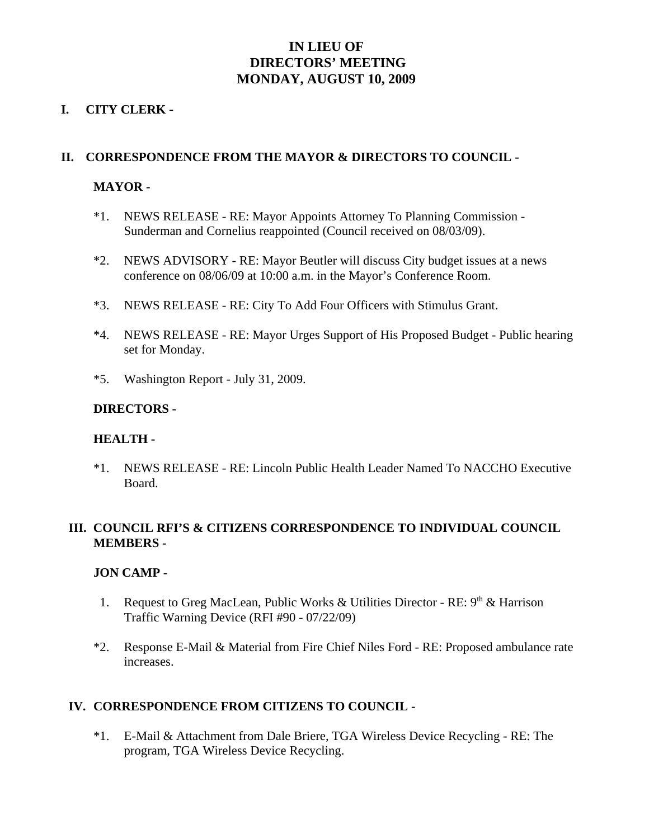# **IN LIEU OF DIRECTORS' MEETING MONDAY, AUGUST 10, 2009**

### **I. CITY CLERK** -

### **II. CORRESPONDENCE FROM THE MAYOR & DIRECTORS TO COUNCIL -**

### **MAYOR -**

- \*1. NEWS RELEASE RE: Mayor Appoints Attorney To Planning Commission Sunderman and Cornelius reappointed (Council received on 08/03/09).
- \*2. NEWS ADVISORY RE: Mayor Beutler will discuss City budget issues at a news conference on 08/06/09 at 10:00 a.m. in the Mayor's Conference Room.
- \*3. NEWS RELEASE RE: City To Add Four Officers with Stimulus Grant.
- \*4. NEWS RELEASE RE: Mayor Urges Support of His Proposed Budget Public hearing set for Monday.
- \*5. Washington Report July 31, 2009.

### **DIRECTORS -**

### **HEALTH -**

\*1. NEWS RELEASE - RE: Lincoln Public Health Leader Named To NACCHO Executive Board.

# **III. COUNCIL RFI'S & CITIZENS CORRESPONDENCE TO INDIVIDUAL COUNCIL MEMBERS -**

### **JON CAMP -**

- 1. Request to Greg MacLean, Public Works & Utilities Director RE:  $9<sup>th</sup>$  & Harrison Traffic Warning Device (RFI #90 - 07/22/09)
- \*2. Response E-Mail & Material from Fire Chief Niles Ford RE: Proposed ambulance rate increases.

### **IV. CORRESPONDENCE FROM CITIZENS TO COUNCIL -**

\*1. E-Mail & Attachment from Dale Briere, TGA Wireless Device Recycling - RE: The program, TGA Wireless Device Recycling.